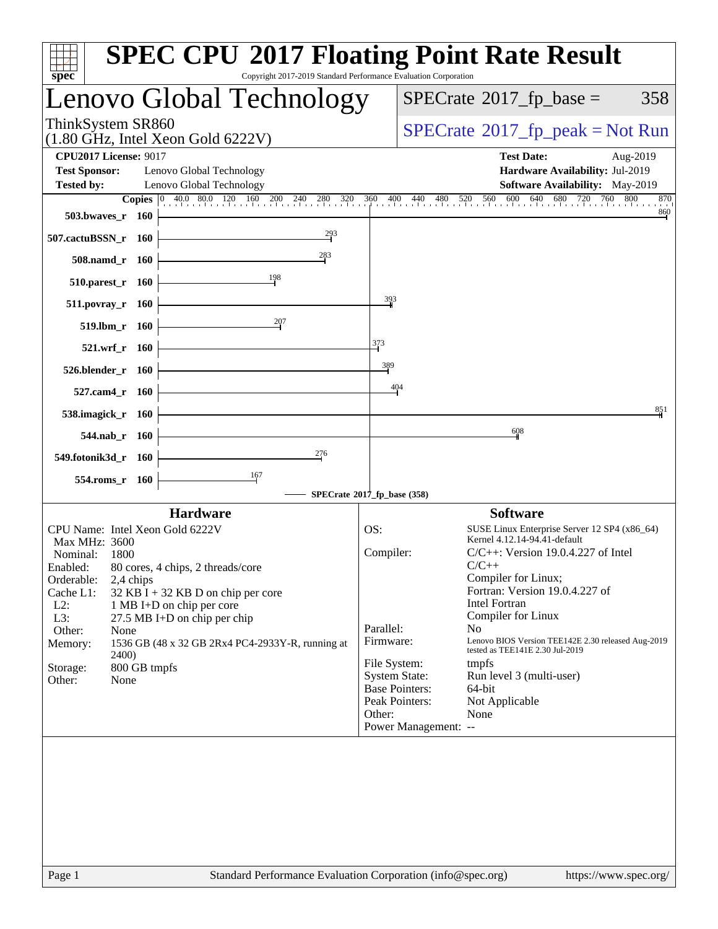| spec <sup>®</sup>                                                                                                                                                                                                   |                                                            | <b>SPEC CPU®2017 Floating Point Rate Result</b><br>Copyright 2017-2019 Standard Performance Evaluation Corporation                                                                                            |                                                      |                                                                                                         |                                                                                                                                                                                                                                                                                                                                                                                                                                         |
|---------------------------------------------------------------------------------------------------------------------------------------------------------------------------------------------------------------------|------------------------------------------------------------|---------------------------------------------------------------------------------------------------------------------------------------------------------------------------------------------------------------|------------------------------------------------------|---------------------------------------------------------------------------------------------------------|-----------------------------------------------------------------------------------------------------------------------------------------------------------------------------------------------------------------------------------------------------------------------------------------------------------------------------------------------------------------------------------------------------------------------------------------|
|                                                                                                                                                                                                                     |                                                            | Lenovo Global Technology                                                                                                                                                                                      |                                                      |                                                                                                         | $SPECrate^{\circ}2017$ fp base =<br>358                                                                                                                                                                                                                                                                                                                                                                                                 |
| ThinkSystem SR860                                                                                                                                                                                                   |                                                            | $(1.80 \text{ GHz}, \text{Intel Xeon Gold } 6222 \text{V})$                                                                                                                                                   |                                                      |                                                                                                         | $SPECrate^{\circ}2017$ [p_peak = Not Run                                                                                                                                                                                                                                                                                                                                                                                                |
| <b>CPU2017 License: 9017</b><br><b>Test Sponsor:</b><br><b>Tested by:</b>                                                                                                                                           |                                                            | Lenovo Global Technology<br>Lenovo Global Technology                                                                                                                                                          |                                                      |                                                                                                         | <b>Test Date:</b><br>Aug-2019<br>Hardware Availability: Jul-2019<br>Software Availability: May-2019                                                                                                                                                                                                                                                                                                                                     |
| 503.bwayes_r 160<br>507.cactuBSSN_r 160<br>508.namd_r 160<br>510.parest_r 160<br>$511. povray_r 160$<br>519.lbm_r 160<br>521.wrf_r 160<br>526.blender_r 160<br>527.cam4_r 160<br>538.imagick_r 160<br>544.nab r 160 |                                                            | <b>Copies</b> 0 40.0 80.0 120 160<br>$\frac{160}{1}$ 200 240 280 320 3<br>$\frac{293}{2}$<br>$^{283}$<br>198<br>207                                                                                           | 360<br>$\frac{393}{5}$<br>373<br>389                 | 400<br>440<br>in ailian ailian<br>404                                                                   | 640<br>$680$ 720 760 8<br>760 800<br>$480$ 520 560 600<br>870<br>$\frac{860}{9}$<br>851<br>608                                                                                                                                                                                                                                                                                                                                          |
| 549.fotonik3d_r 160<br>554.roms_r 160                                                                                                                                                                               |                                                            | 276<br>167<br>SPECrate®2017_fp_base (358)                                                                                                                                                                     |                                                      |                                                                                                         |                                                                                                                                                                                                                                                                                                                                                                                                                                         |
| CPU Name: Intel Xeon Gold 6222V<br>Max MHz: 3600<br>Nominal:<br>Enabled:<br>Orderable:<br>Cache L1:<br>$L2$ :<br>L3:<br>Other:<br>Memory:<br>Storage:<br>Other:                                                     | 1800<br>2,4 chips<br>None<br>2400)<br>800 GB tmpfs<br>None | <b>Hardware</b><br>80 cores, 4 chips, 2 threads/core<br>$32$ KB I + 32 KB D on chip per core<br>1 MB I+D on chip per core<br>27.5 MB I+D on chip per chip<br>1536 GB (48 x 32 GB 2Rx4 PC4-2933Y-R, running at | OS:<br>Compiler:<br>Parallel:<br>Firmware:<br>Other: | File System:<br><b>System State:</b><br><b>Base Pointers:</b><br>Peak Pointers:<br>Power Management: -- | <b>Software</b><br>SUSE Linux Enterprise Server 12 SP4 (x86_64)<br>Kernel 4.12.14-94.41-default<br>$C/C++$ : Version 19.0.4.227 of Intel<br>$C/C++$<br>Compiler for Linux;<br>Fortran: Version 19.0.4.227 of<br>Intel Fortran<br>Compiler for Linux<br>N <sub>o</sub><br>Lenovo BIOS Version TEE142E 2.30 released Aug-2019<br>tested as TEE141E 2.30 Jul-2019<br>tmpfs<br>Run level 3 (multi-user)<br>64-bit<br>Not Applicable<br>None |
| Page 1                                                                                                                                                                                                              |                                                            | Standard Performance Evaluation Corporation (info@spec.org)                                                                                                                                                   |                                                      |                                                                                                         | https://www.spec.org/                                                                                                                                                                                                                                                                                                                                                                                                                   |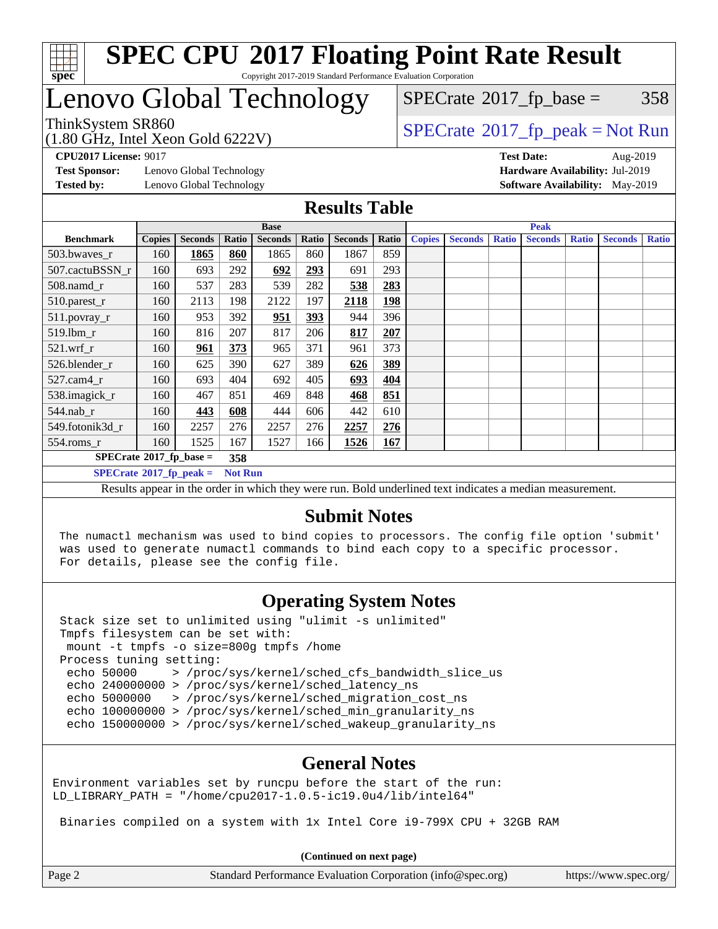

#### **[SPEC CPU](http://www.spec.org/auto/cpu2017/Docs/result-fields.html#SPECCPU2017FloatingPointRateResult)[2017 Floating Point Rate Result](http://www.spec.org/auto/cpu2017/Docs/result-fields.html#SPECCPU2017FloatingPointRateResult)** Copyright 2017-2019 Standard Performance Evaluation Corporation

## Lenovo Global Technology

(1.80 GHz, Intel Xeon Gold 6222V)

 $SPECTate@2017_fp\_base = 358$ 

ThinkSystem SR860<br>(1.80 GHz, Intel Year Gald 6222V) [SPECrate](http://www.spec.org/auto/cpu2017/Docs/result-fields.html#SPECrate2017fppeak)®[2017\\_fp\\_peak = N](http://www.spec.org/auto/cpu2017/Docs/result-fields.html#SPECrate2017fppeak)ot Run

**[CPU2017 License:](http://www.spec.org/auto/cpu2017/Docs/result-fields.html#CPU2017License)** 9017 **[Test Date:](http://www.spec.org/auto/cpu2017/Docs/result-fields.html#TestDate)** Aug-2019

**[Test Sponsor:](http://www.spec.org/auto/cpu2017/Docs/result-fields.html#TestSponsor)** Lenovo Global Technology **[Hardware Availability:](http://www.spec.org/auto/cpu2017/Docs/result-fields.html#HardwareAvailability)** Jul-2019 **[Tested by:](http://www.spec.org/auto/cpu2017/Docs/result-fields.html#Testedby)** Lenovo Global Technology **[Software Availability:](http://www.spec.org/auto/cpu2017/Docs/result-fields.html#SoftwareAvailability)** May-2019

#### **[Results Table](http://www.spec.org/auto/cpu2017/Docs/result-fields.html#ResultsTable)**

|                                                                                                          | <b>Base</b>   |                |       |                |            |                | <b>Peak</b> |               |                |              |                |              |                |              |
|----------------------------------------------------------------------------------------------------------|---------------|----------------|-------|----------------|------------|----------------|-------------|---------------|----------------|--------------|----------------|--------------|----------------|--------------|
| <b>Benchmark</b>                                                                                         | <b>Copies</b> | <b>Seconds</b> | Ratio | <b>Seconds</b> | Ratio      | <b>Seconds</b> | Ratio       | <b>Copies</b> | <b>Seconds</b> | <b>Ratio</b> | <b>Seconds</b> | <b>Ratio</b> | <b>Seconds</b> | <b>Ratio</b> |
| 503.bwayes r                                                                                             | 160           | 1865           | 860   | 1865           | 860        | 1867           | 859         |               |                |              |                |              |                |              |
| 507.cactuBSSN r                                                                                          | 160           | 693            | 292   | 692            | 293        | 691            | 293         |               |                |              |                |              |                |              |
| $508$ .namd $_r$                                                                                         | 160           | 537            | 283   | 539            | 282        | 538            | 283         |               |                |              |                |              |                |              |
| 510.parest_r                                                                                             | 160           | 2113           | 198   | 2122           | 197        | 2118           | <u>198</u>  |               |                |              |                |              |                |              |
| 511.povray_r                                                                                             | 160           | 953            | 392   | 951            | <u>393</u> | 944            | 396         |               |                |              |                |              |                |              |
| 519.lbm r                                                                                                | 160           | 816            | 207   | 817            | 206        | 817            | 207         |               |                |              |                |              |                |              |
| $521$ .wrf r                                                                                             | 160           | 961            | 373   | 965            | 371        | 961            | 373         |               |                |              |                |              |                |              |
| 526.blender r                                                                                            | 160           | 625            | 390   | 627            | 389        | 626            | 389         |               |                |              |                |              |                |              |
| $527.cam4_r$                                                                                             | 160           | 693            | 404   | 692            | 405        | 693            | 404         |               |                |              |                |              |                |              |
| 538.imagick_r                                                                                            | 160           | 467            | 851   | 469            | 848        | 468            | 851         |               |                |              |                |              |                |              |
| $544$ .nab r                                                                                             | 160           | 443            | 608   | 444            | 606        | 442            | 610         |               |                |              |                |              |                |              |
| 549.fotonik3d r                                                                                          | 160           | 2257           | 276   | 2257           | 276        | 2257           | 276         |               |                |              |                |              |                |              |
| $554$ .roms_r                                                                                            | 160           | 1525           | 167   | 1527           | 166        | 1526           | 167         |               |                |              |                |              |                |              |
| $SPECrate^{\otimes}2017$ fp base =<br>358                                                                |               |                |       |                |            |                |             |               |                |              |                |              |                |              |
| $SPECrate^{\circ}2017$ fp peak =<br><b>Not Run</b>                                                       |               |                |       |                |            |                |             |               |                |              |                |              |                |              |
| Results appear in the order in which they were run. Bold underlined text indicates a median measurement. |               |                |       |                |            |                |             |               |                |              |                |              |                |              |

### **[Submit Notes](http://www.spec.org/auto/cpu2017/Docs/result-fields.html#SubmitNotes)**

 The numactl mechanism was used to bind copies to processors. The config file option 'submit' was used to generate numactl commands to bind each copy to a specific processor. For details, please see the config file.

### **[Operating System Notes](http://www.spec.org/auto/cpu2017/Docs/result-fields.html#OperatingSystemNotes)**

 Stack size set to unlimited using "ulimit -s unlimited" Tmpfs filesystem can be set with: mount -t tmpfs -o size=800g tmpfs /home Process tuning setting: echo 50000 > /proc/sys/kernel/sched\_cfs\_bandwidth\_slice\_us echo 240000000 > /proc/sys/kernel/sched\_latency\_ns echo 5000000 > /proc/sys/kernel/sched\_migration\_cost\_ns echo 100000000 > /proc/sys/kernel/sched\_min\_granularity\_ns echo 150000000 > /proc/sys/kernel/sched wakeup granularity ns

### **[General Notes](http://www.spec.org/auto/cpu2017/Docs/result-fields.html#GeneralNotes)**

Environment variables set by runcpu before the start of the run: LD LIBRARY PATH = "/home/cpu2017-1.0.5-ic19.0u4/lib/intel64"

Binaries compiled on a system with 1x Intel Core i9-799X CPU + 32GB RAM

**(Continued on next page)**

| Page 2 | Standard Performance Evaluation Corporation (info@spec.org) | https://www.spec.org/ |
|--------|-------------------------------------------------------------|-----------------------|
|        |                                                             |                       |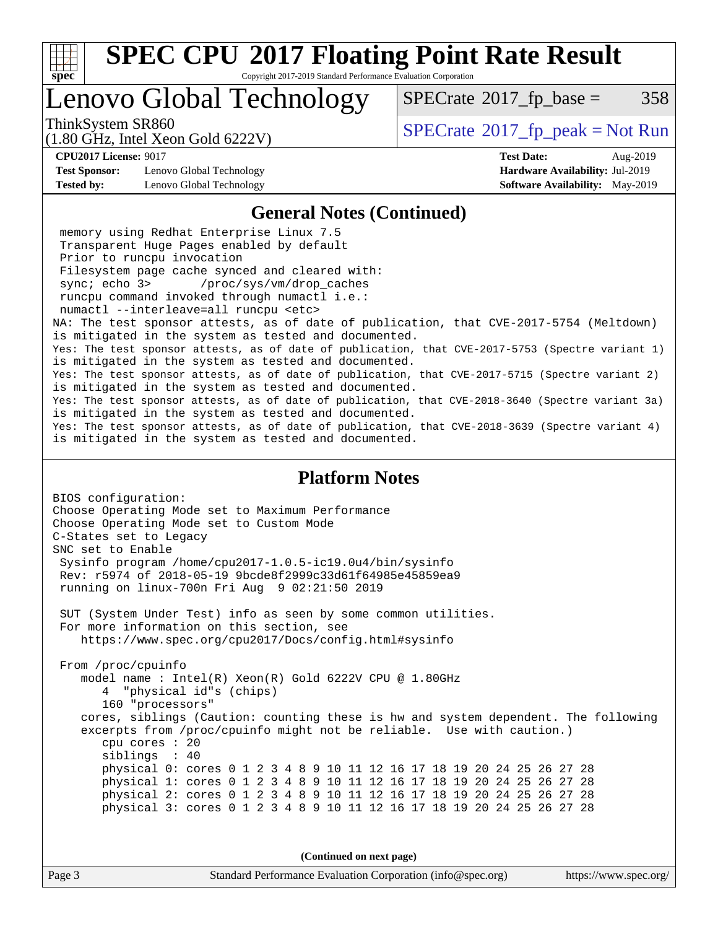

Copyright 2017-2019 Standard Performance Evaluation Corporation

## Lenovo Global Technology

 $SPECTate@2017_fp\_base = 358$ 

(1.80 GHz, Intel Xeon Gold 6222V)

ThinkSystem SR860<br>(1.80 CHz, Intel Year Gald 6222V) [SPECrate](http://www.spec.org/auto/cpu2017/Docs/result-fields.html#SPECrate2017fppeak)®[2017\\_fp\\_peak = N](http://www.spec.org/auto/cpu2017/Docs/result-fields.html#SPECrate2017fppeak)ot Run

**[CPU2017 License:](http://www.spec.org/auto/cpu2017/Docs/result-fields.html#CPU2017License)** 9017 **[Test Date:](http://www.spec.org/auto/cpu2017/Docs/result-fields.html#TestDate)** Aug-2019

**[Test Sponsor:](http://www.spec.org/auto/cpu2017/Docs/result-fields.html#TestSponsor)** Lenovo Global Technology **[Hardware Availability:](http://www.spec.org/auto/cpu2017/Docs/result-fields.html#HardwareAvailability)** Jul-2019 **[Tested by:](http://www.spec.org/auto/cpu2017/Docs/result-fields.html#Testedby)** Lenovo Global Technology **[Software Availability:](http://www.spec.org/auto/cpu2017/Docs/result-fields.html#SoftwareAvailability)** May-2019

#### **[General Notes \(Continued\)](http://www.spec.org/auto/cpu2017/Docs/result-fields.html#GeneralNotes)**

 memory using Redhat Enterprise Linux 7.5 Transparent Huge Pages enabled by default Prior to runcpu invocation Filesystem page cache synced and cleared with: sync; echo 3> /proc/sys/vm/drop\_caches runcpu command invoked through numactl i.e.: numactl --interleave=all runcpu <etc> NA: The test sponsor attests, as of date of publication, that CVE-2017-5754 (Meltdown) is mitigated in the system as tested and documented. Yes: The test sponsor attests, as of date of publication, that CVE-2017-5753 (Spectre variant 1) is mitigated in the system as tested and documented. Yes: The test sponsor attests, as of date of publication, that CVE-2017-5715 (Spectre variant 2) is mitigated in the system as tested and documented. Yes: The test sponsor attests, as of date of publication, that CVE-2018-3640 (Spectre variant 3a) is mitigated in the system as tested and documented. Yes: The test sponsor attests, as of date of publication, that CVE-2018-3639 (Spectre variant 4) is mitigated in the system as tested and documented.

### **[Platform Notes](http://www.spec.org/auto/cpu2017/Docs/result-fields.html#PlatformNotes)**

BIOS configuration: Choose Operating Mode set to Maximum Performance Choose Operating Mode set to Custom Mode C-States set to Legacy SNC set to Enable Sysinfo program /home/cpu2017-1.0.5-ic19.0u4/bin/sysinfo Rev: r5974 of 2018-05-19 9bcde8f2999c33d61f64985e45859ea9 running on linux-700n Fri Aug 9 02:21:50 2019 SUT (System Under Test) info as seen by some common utilities. For more information on this section, see <https://www.spec.org/cpu2017/Docs/config.html#sysinfo> From /proc/cpuinfo model name : Intel(R) Xeon(R) Gold 6222V CPU @ 1.80GHz 4 "physical id"s (chips) 160 "processors" cores, siblings (Caution: counting these is hw and system dependent. The following excerpts from /proc/cpuinfo might not be reliable. Use with caution.) cpu cores : 20 siblings : 40 physical 0: cores 0 1 2 3 4 8 9 10 11 12 16 17 18 19 20 24 25 26 27 28 physical 1: cores 0 1 2 3 4 8 9 10 11 12 16 17 18 19 20 24 25 26 27 28 physical 2: cores 0 1 2 3 4 8 9 10 11 12 16 17 18 19 20 24 25 26 27 28 physical 3: cores 0 1 2 3 4 8 9 10 11 12 16 17 18 19 20 24 25 26 27 28

**(Continued on next page)**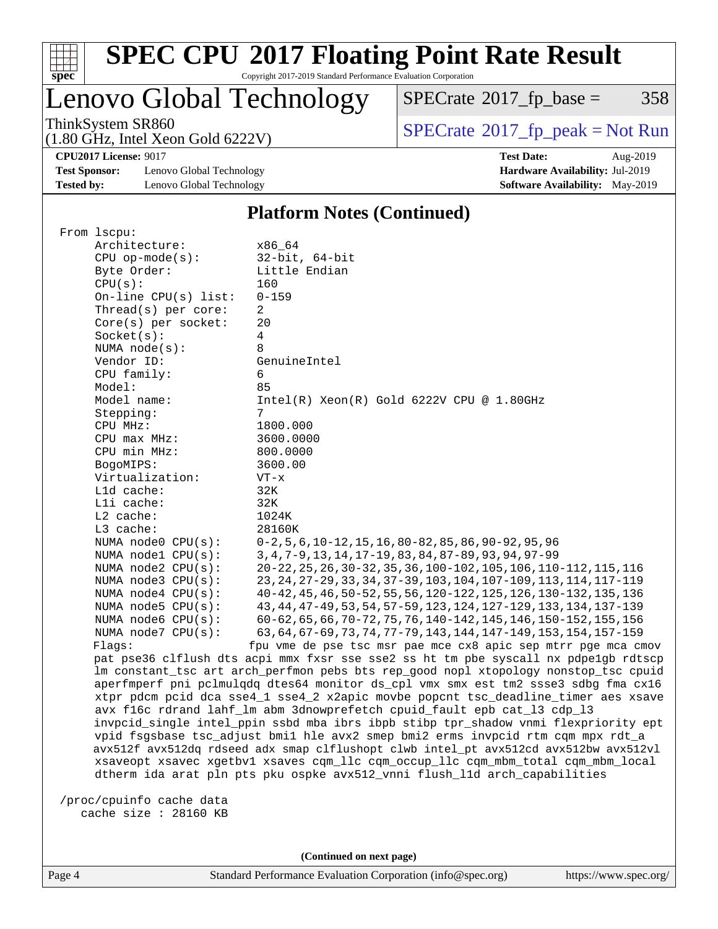

Copyright 2017-2019 Standard Performance Evaluation Corporation

### Lenovo Global Technology

 $SPECTate@2017_fp\_base = 358$ 

(1.80 GHz, Intel Xeon Gold 6222V)

ThinkSystem SR860<br>(1.80 GHz, Intel Xeon Gold 6222V) [SPECrate](http://www.spec.org/auto/cpu2017/Docs/result-fields.html#SPECrate2017fppeak)®[2017\\_fp\\_peak = N](http://www.spec.org/auto/cpu2017/Docs/result-fields.html#SPECrate2017fppeak)ot Run

**[CPU2017 License:](http://www.spec.org/auto/cpu2017/Docs/result-fields.html#CPU2017License)** 9017 **[Test Date:](http://www.spec.org/auto/cpu2017/Docs/result-fields.html#TestDate)** Aug-2019

**[Test Sponsor:](http://www.spec.org/auto/cpu2017/Docs/result-fields.html#TestSponsor)** Lenovo Global Technology **[Hardware Availability:](http://www.spec.org/auto/cpu2017/Docs/result-fields.html#HardwareAvailability)** Jul-2019 **[Tested by:](http://www.spec.org/auto/cpu2017/Docs/result-fields.html#Testedby)** Lenovo Global Technology **[Software Availability:](http://www.spec.org/auto/cpu2017/Docs/result-fields.html#SoftwareAvailability)** May-2019

#### **[Platform Notes \(Continued\)](http://www.spec.org/auto/cpu2017/Docs/result-fields.html#PlatformNotes)**

| From 1scpu:            |                                                                                      |
|------------------------|--------------------------------------------------------------------------------------|
| Architecture:          | x86 64                                                                               |
| $CPU$ op-mode(s):      | $32$ -bit, $64$ -bit                                                                 |
| Byte Order:            | Little Endian                                                                        |
| CPU(s):                | 160                                                                                  |
| On-line CPU(s) list:   | $0 - 159$                                                                            |
| Thread(s) per core:    | 2                                                                                    |
| Core(s) per socket:    | 20                                                                                   |
| Socket(s):             | 4                                                                                    |
| NUMA $node(s)$ :       | 8                                                                                    |
| Vendor ID:             | GenuineIntel                                                                         |
| CPU family:            | 6                                                                                    |
| Model:                 | 85                                                                                   |
| Model name:            | $Intel(R)$ Xeon $(R)$ Gold 6222V CPU @ 1.80GHz                                       |
| Stepping:              | 7                                                                                    |
| CPU MHz:               | 1800.000                                                                             |
| CPU max MHz:           | 3600.0000                                                                            |
| CPU min MHz:           | 800.0000                                                                             |
| BogoMIPS:              | 3600.00                                                                              |
| Virtualization:        | $VT - x$                                                                             |
| Lld cache:             | 32K                                                                                  |
| Lli cache:             | 32K                                                                                  |
| $L2$ cache:            | 1024K                                                                                |
| L3 cache:              | 28160K                                                                               |
| NUMA node0 CPU(s):     | $0-2, 5, 6, 10-12, 15, 16, 80-82, 85, 86, 90-92, 95, 96$                             |
| NUMA nodel CPU(s):     | 3, 4, 7-9, 13, 14, 17-19, 83, 84, 87-89, 93, 94, 97-99                               |
| NUMA node2 CPU(s):     | 20-22, 25, 26, 30-32, 35, 36, 100-102, 105, 106, 110-112, 115, 116                   |
| NUMA node3 CPU(s):     | 23, 24, 27-29, 33, 34, 37-39, 103, 104, 107-109, 113, 114, 117-119                   |
| NUMA $node4$ $CPU(s):$ | 40-42, 45, 46, 50-52, 55, 56, 120-122, 125, 126, 130-132, 135, 136                   |
| NUMA node5 CPU(s):     | 43, 44, 47-49, 53, 54, 57-59, 123, 124, 127-129, 133, 134, 137-139                   |
| NUMA node6 CPU(s):     | 60-62, 65, 66, 70-72, 75, 76, 140-142, 145, 146, 150-152, 155, 156                   |
| NUMA node7 CPU(s):     | 63, 64, 67-69, 73, 74, 77-79, 143, 144, 147-149, 153, 154, 157-159                   |
| Flaqs:                 | fpu vme de pse tsc msr pae mce cx8 apic sep mtrr pge mca cmov                        |
|                        | pat pse36 clflush dts acpi mmx fxsr sse sse2 ss ht tm pbe syscall nx pdpe1gb rdtscp  |
|                        | lm constant_tsc art arch_perfmon pebs bts rep_good nopl xtopology nonstop_tsc cpuid  |
|                        | aperfmperf pni pclmulqdq dtes64 monitor ds_cpl vmx smx est tm2 ssse3 sdbg fma cx16   |
|                        | xtpr pdcm pcid dca sse4_1 sse4_2 x2apic movbe popcnt tsc_deadline_timer aes xsave    |
|                        | avx f16c rdrand lahf_lm abm 3dnowprefetch cpuid_fault epb cat_13 cdp_13              |
|                        | invpcid_single intel_ppin ssbd mba ibrs ibpb stibp tpr_shadow vnmi flexpriority ept  |
|                        | vpid fsgsbase tsc_adjust bmil hle avx2 smep bmi2 erms invpcid rtm cqm mpx rdt_a      |
|                        | avx512f avx512dq rdseed adx smap clflushopt clwb intel_pt avx512cd avx512bw avx512vl |
|                        | xsaveopt xsavec xgetbvl xsaves cqm_llc cqm_occup_llc cqm_mbm_total cqm_mbm_local     |
|                        | dtherm ida arat pln pts pku ospke avx512_vnni flush_lld arch_capabilities            |
|                        |                                                                                      |

 /proc/cpuinfo cache data cache size : 28160 KB

**(Continued on next page)**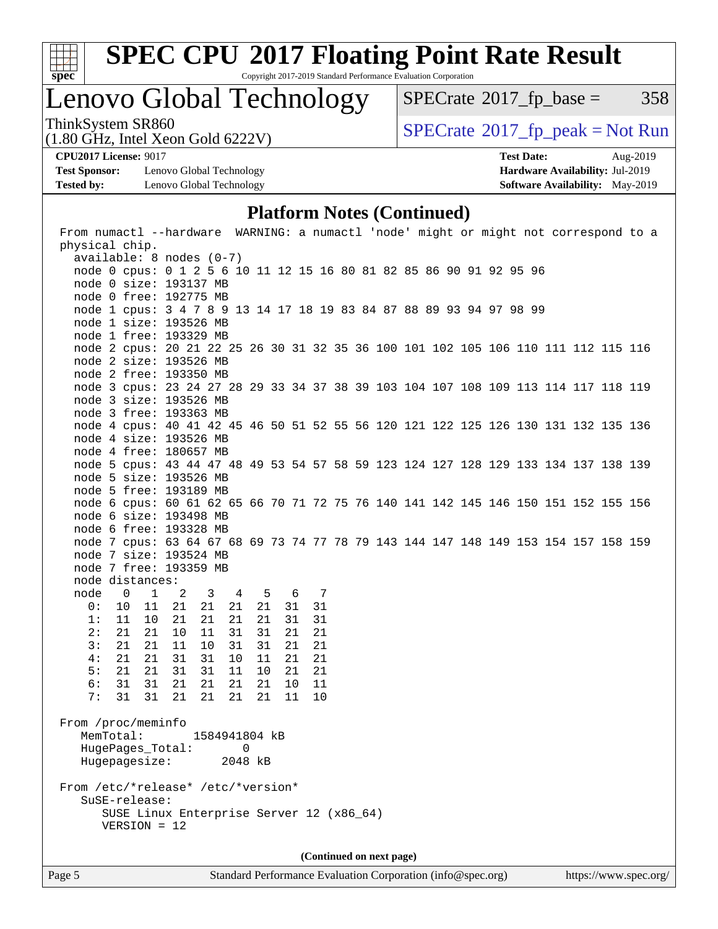

Copyright 2017-2019 Standard Performance Evaluation Corporation

### Lenovo Global Technology

 $SPECTate@2017_fp\_base = 358$ 

ThinkSystem SR860<br>(1.80 GHz, Intel Xeon Gold 6222V) [SPECrate](http://www.spec.org/auto/cpu2017/Docs/result-fields.html#SPECrate2017fppeak)®[2017\\_fp\\_peak = N](http://www.spec.org/auto/cpu2017/Docs/result-fields.html#SPECrate2017fppeak)ot Run

**[Test Sponsor:](http://www.spec.org/auto/cpu2017/Docs/result-fields.html#TestSponsor)** Lenovo Global Technology **[Hardware Availability:](http://www.spec.org/auto/cpu2017/Docs/result-fields.html#HardwareAvailability)** Jul-2019 **[Tested by:](http://www.spec.org/auto/cpu2017/Docs/result-fields.html#Testedby)** Lenovo Global Technology **[Software Availability:](http://www.spec.org/auto/cpu2017/Docs/result-fields.html#SoftwareAvailability)** May-2019

(1.80 GHz, Intel Xeon Gold 6222V)

**[CPU2017 License:](http://www.spec.org/auto/cpu2017/Docs/result-fields.html#CPU2017License)** 9017 **[Test Date:](http://www.spec.org/auto/cpu2017/Docs/result-fields.html#TestDate)** Aug-2019

### **[Platform Notes \(Continued\)](http://www.spec.org/auto/cpu2017/Docs/result-fields.html#PlatformNotes)**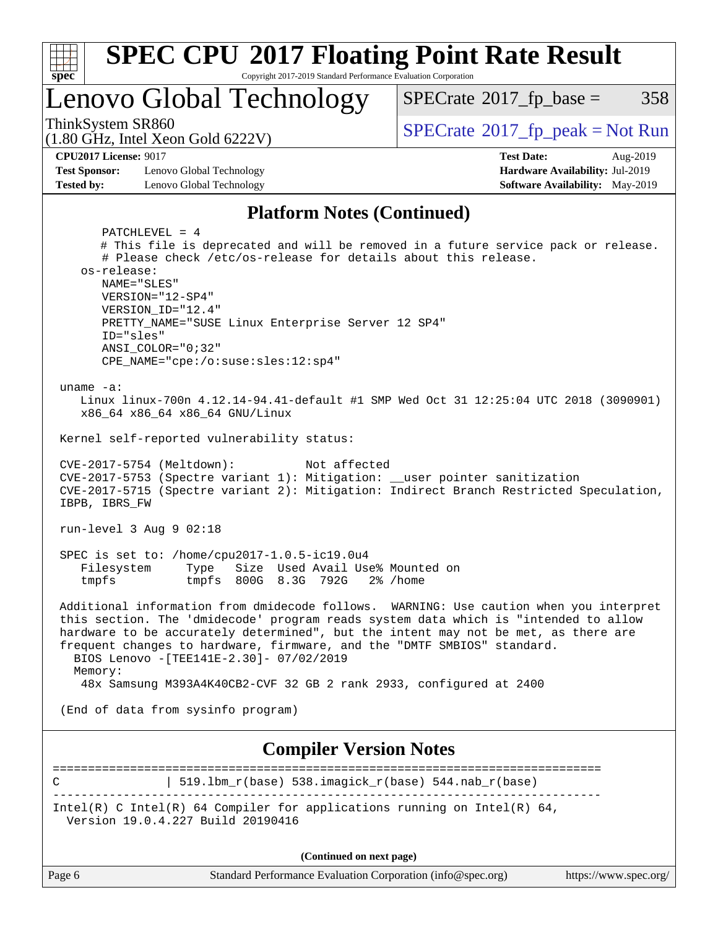

C | 519.1bm r(base) 538.imagick r(base) 544.nab r(base) ------------------------------------------------------------------------------ Intel(R) C Intel(R) 64 Compiler for applications running on Intel(R)  $64$ , Version 19.0.4.227 Build 20190416

**(Continued on next page)**

|  | аги пеноннансе плананон з |  |  |
|--|---------------------------|--|--|
|  |                           |  |  |

Page 6 Standard Performance Evaluation Corporation [\(info@spec.org\)](mailto:info@spec.org) <https://www.spec.org/>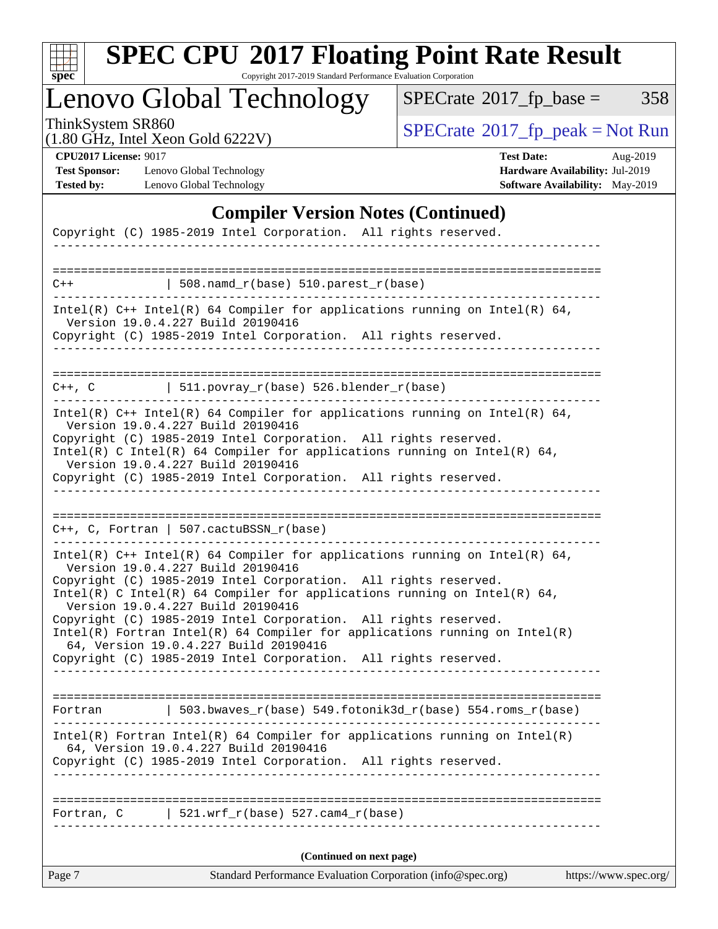

Copyright 2017-2019 Standard Performance Evaluation Corporation

Lenovo Global Technology

 $SPECTate@2017_fp\_base = 358$ 

(1.80 GHz, Intel Xeon Gold 6222V)

ThinkSystem SR860<br>(1.80 GHz, Intel Xeon Gold 6222V) [SPECrate](http://www.spec.org/auto/cpu2017/Docs/result-fields.html#SPECrate2017fppeak)®[2017\\_fp\\_peak = N](http://www.spec.org/auto/cpu2017/Docs/result-fields.html#SPECrate2017fppeak)ot Run

**[Test Sponsor:](http://www.spec.org/auto/cpu2017/Docs/result-fields.html#TestSponsor)** Lenovo Global Technology **[Hardware Availability:](http://www.spec.org/auto/cpu2017/Docs/result-fields.html#HardwareAvailability)** Jul-2019 **[Tested by:](http://www.spec.org/auto/cpu2017/Docs/result-fields.html#Testedby)** Lenovo Global Technology **[Software Availability:](http://www.spec.org/auto/cpu2017/Docs/result-fields.html#SoftwareAvailability)** May-2019

**[CPU2017 License:](http://www.spec.org/auto/cpu2017/Docs/result-fields.html#CPU2017License)** 9017 **[Test Date:](http://www.spec.org/auto/cpu2017/Docs/result-fields.html#TestDate)** Aug-2019

### **[Compiler Version Notes \(Continued\)](http://www.spec.org/auto/cpu2017/Docs/result-fields.html#CompilerVersionNotes)**

|        | Copyright (C) 1985-2019 Intel Corporation. All rights reserved.                                                                                                                                                                                                                                       |  |
|--------|-------------------------------------------------------------------------------------------------------------------------------------------------------------------------------------------------------------------------------------------------------------------------------------------------------|--|
|        |                                                                                                                                                                                                                                                                                                       |  |
| $C++$  | $\vert$ 508.namd_r(base) 510.parest_r(base)                                                                                                                                                                                                                                                           |  |
|        | Intel(R) $C++$ Intel(R) 64 Compiler for applications running on Intel(R) 64,<br>Version 19.0.4.227 Build 20190416<br>Copyright (C) 1985-2019 Intel Corporation. All rights reserved.                                                                                                                  |  |
|        |                                                                                                                                                                                                                                                                                                       |  |
|        | $C++$ , C $\qquad \qquad$ 511.povray_r(base) 526.blender_r(base)                                                                                                                                                                                                                                      |  |
|        | Intel(R) $C++$ Intel(R) 64 Compiler for applications running on Intel(R) 64,<br>Version 19.0.4.227 Build 20190416                                                                                                                                                                                     |  |
|        | Copyright (C) 1985-2019 Intel Corporation. All rights reserved.<br>Intel(R) C Intel(R) 64 Compiler for applications running on Intel(R) 64,<br>Version 19.0.4.227 Build 20190416                                                                                                                      |  |
|        | Copyright (C) 1985-2019 Intel Corporation. All rights reserved.                                                                                                                                                                                                                                       |  |
|        | $C++$ , C, Fortran   507.cactuBSSN_r(base)                                                                                                                                                                                                                                                            |  |
|        |                                                                                                                                                                                                                                                                                                       |  |
|        | Intel(R) $C++$ Intel(R) 64 Compiler for applications running on Intel(R) 64,<br>Version 19.0.4.227 Build 20190416<br>Copyright (C) 1985-2019 Intel Corporation. All rights reserved.<br>Intel(R) C Intel(R) 64 Compiler for applications running on Intel(R) 64,<br>Version 19.0.4.227 Build 20190416 |  |
|        | Copyright (C) 1985-2019 Intel Corporation. All rights reserved.<br>$Intel(R)$ Fortran Intel(R) 64 Compiler for applications running on Intel(R)                                                                                                                                                       |  |
|        | 64, Version 19.0.4.227 Build 20190416<br>Copyright (C) 1985-2019 Intel Corporation. All rights reserved.                                                                                                                                                                                              |  |
|        |                                                                                                                                                                                                                                                                                                       |  |
|        | Fortran   503.bwaves_r(base) 549.fotonik3d_r(base) 554.roms_r(base)                                                                                                                                                                                                                                   |  |
|        | $Intel(R)$ Fortran Intel(R) 64 Compiler for applications running on Intel(R)<br>64, Version 19.0.4.227 Build 20190416                                                                                                                                                                                 |  |
|        | Copyright (C) 1985-2019 Intel Corporation. All rights reserved.<br>___________________________                                                                                                                                                                                                        |  |
|        | Fortran, $C$   521.wrf_r(base) 527.cam4_r(base)                                                                                                                                                                                                                                                       |  |
|        | (Continued on next page)                                                                                                                                                                                                                                                                              |  |
| Page 7 | Standard Performance Evaluation Corporation (info@spec.org)<br>https://www.spec.org/                                                                                                                                                                                                                  |  |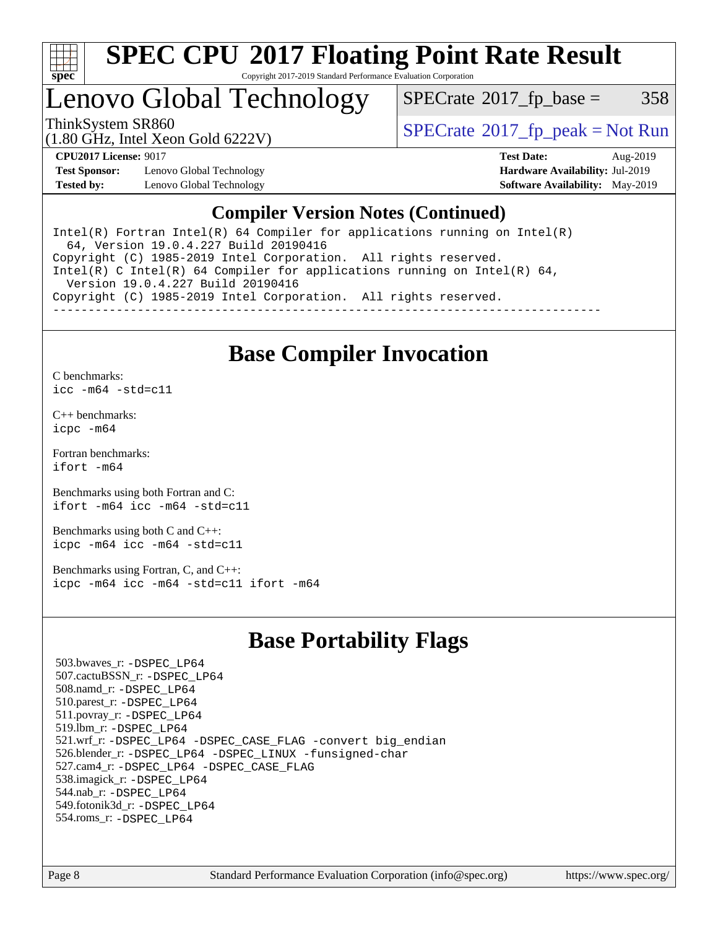

#### **[SPEC CPU](http://www.spec.org/auto/cpu2017/Docs/result-fields.html#SPECCPU2017FloatingPointRateResult)[2017 Floating Point Rate Result](http://www.spec.org/auto/cpu2017/Docs/result-fields.html#SPECCPU2017FloatingPointRateResult)** Copyright 2017-2019 Standard Performance Evaluation Corporation

## Lenovo Global Technology

 $SPECTate@2017_fp\_base = 358$ 

ThinkSystem SR860<br>  $\begin{array}{c}\n\text{SPECrate} \textcirc 2017 \text{ fp } peak = Not Run\n\end{array}$  $\begin{array}{c}\n\text{SPECrate} \textcirc 2017 \text{ fp } peak = Not Run\n\end{array}$  $\begin{array}{c}\n\text{SPECrate} \textcirc 2017 \text{ fp } peak = Not Run\n\end{array}$ 

(1.80 GHz, Intel Xeon Gold 6222V)

**[Test Sponsor:](http://www.spec.org/auto/cpu2017/Docs/result-fields.html#TestSponsor)** Lenovo Global Technology **[Hardware Availability:](http://www.spec.org/auto/cpu2017/Docs/result-fields.html#HardwareAvailability)** Jul-2019 **[Tested by:](http://www.spec.org/auto/cpu2017/Docs/result-fields.html#Testedby)** Lenovo Global Technology **[Software Availability:](http://www.spec.org/auto/cpu2017/Docs/result-fields.html#SoftwareAvailability)** May-2019

**[CPU2017 License:](http://www.spec.org/auto/cpu2017/Docs/result-fields.html#CPU2017License)** 9017 **[Test Date:](http://www.spec.org/auto/cpu2017/Docs/result-fields.html#TestDate)** Aug-2019

### **[Compiler Version Notes \(Continued\)](http://www.spec.org/auto/cpu2017/Docs/result-fields.html#CompilerVersionNotes)**

Intel(R) Fortran Intel(R)  $64$  Compiler for applications running on Intel(R) 64, Version 19.0.4.227 Build 20190416 Copyright (C) 1985-2019 Intel Corporation. All rights reserved. Intel(R) C Intel(R) 64 Compiler for applications running on Intel(R) 64, Version 19.0.4.227 Build 20190416 Copyright (C) 1985-2019 Intel Corporation. All rights reserved. ------------------------------------------------------------------------------

### **[Base Compiler Invocation](http://www.spec.org/auto/cpu2017/Docs/result-fields.html#BaseCompilerInvocation)**

[C benchmarks](http://www.spec.org/auto/cpu2017/Docs/result-fields.html#Cbenchmarks): [icc -m64 -std=c11](http://www.spec.org/cpu2017/results/res2019q3/cpu2017-20190902-17466.flags.html#user_CCbase_intel_icc_64bit_c11_33ee0cdaae7deeeab2a9725423ba97205ce30f63b9926c2519791662299b76a0318f32ddfffdc46587804de3178b4f9328c46fa7c2b0cd779d7a61945c91cd35)

[C++ benchmarks:](http://www.spec.org/auto/cpu2017/Docs/result-fields.html#CXXbenchmarks) [icpc -m64](http://www.spec.org/cpu2017/results/res2019q3/cpu2017-20190902-17466.flags.html#user_CXXbase_intel_icpc_64bit_4ecb2543ae3f1412ef961e0650ca070fec7b7afdcd6ed48761b84423119d1bf6bdf5cad15b44d48e7256388bc77273b966e5eb805aefd121eb22e9299b2ec9d9)

[Fortran benchmarks](http://www.spec.org/auto/cpu2017/Docs/result-fields.html#Fortranbenchmarks): [ifort -m64](http://www.spec.org/cpu2017/results/res2019q3/cpu2017-20190902-17466.flags.html#user_FCbase_intel_ifort_64bit_24f2bb282fbaeffd6157abe4f878425411749daecae9a33200eee2bee2fe76f3b89351d69a8130dd5949958ce389cf37ff59a95e7a40d588e8d3a57e0c3fd751)

[Benchmarks using both Fortran and C](http://www.spec.org/auto/cpu2017/Docs/result-fields.html#BenchmarksusingbothFortranandC): [ifort -m64](http://www.spec.org/cpu2017/results/res2019q3/cpu2017-20190902-17466.flags.html#user_CC_FCbase_intel_ifort_64bit_24f2bb282fbaeffd6157abe4f878425411749daecae9a33200eee2bee2fe76f3b89351d69a8130dd5949958ce389cf37ff59a95e7a40d588e8d3a57e0c3fd751) [icc -m64 -std=c11](http://www.spec.org/cpu2017/results/res2019q3/cpu2017-20190902-17466.flags.html#user_CC_FCbase_intel_icc_64bit_c11_33ee0cdaae7deeeab2a9725423ba97205ce30f63b9926c2519791662299b76a0318f32ddfffdc46587804de3178b4f9328c46fa7c2b0cd779d7a61945c91cd35)

[Benchmarks using both C and C++](http://www.spec.org/auto/cpu2017/Docs/result-fields.html#BenchmarksusingbothCandCXX): [icpc -m64](http://www.spec.org/cpu2017/results/res2019q3/cpu2017-20190902-17466.flags.html#user_CC_CXXbase_intel_icpc_64bit_4ecb2543ae3f1412ef961e0650ca070fec7b7afdcd6ed48761b84423119d1bf6bdf5cad15b44d48e7256388bc77273b966e5eb805aefd121eb22e9299b2ec9d9) [icc -m64 -std=c11](http://www.spec.org/cpu2017/results/res2019q3/cpu2017-20190902-17466.flags.html#user_CC_CXXbase_intel_icc_64bit_c11_33ee0cdaae7deeeab2a9725423ba97205ce30f63b9926c2519791662299b76a0318f32ddfffdc46587804de3178b4f9328c46fa7c2b0cd779d7a61945c91cd35)

[Benchmarks using Fortran, C, and C++:](http://www.spec.org/auto/cpu2017/Docs/result-fields.html#BenchmarksusingFortranCandCXX) [icpc -m64](http://www.spec.org/cpu2017/results/res2019q3/cpu2017-20190902-17466.flags.html#user_CC_CXX_FCbase_intel_icpc_64bit_4ecb2543ae3f1412ef961e0650ca070fec7b7afdcd6ed48761b84423119d1bf6bdf5cad15b44d48e7256388bc77273b966e5eb805aefd121eb22e9299b2ec9d9) [icc -m64 -std=c11](http://www.spec.org/cpu2017/results/res2019q3/cpu2017-20190902-17466.flags.html#user_CC_CXX_FCbase_intel_icc_64bit_c11_33ee0cdaae7deeeab2a9725423ba97205ce30f63b9926c2519791662299b76a0318f32ddfffdc46587804de3178b4f9328c46fa7c2b0cd779d7a61945c91cd35) [ifort -m64](http://www.spec.org/cpu2017/results/res2019q3/cpu2017-20190902-17466.flags.html#user_CC_CXX_FCbase_intel_ifort_64bit_24f2bb282fbaeffd6157abe4f878425411749daecae9a33200eee2bee2fe76f3b89351d69a8130dd5949958ce389cf37ff59a95e7a40d588e8d3a57e0c3fd751)

### **[Base Portability Flags](http://www.spec.org/auto/cpu2017/Docs/result-fields.html#BasePortabilityFlags)**

 503.bwaves\_r: [-DSPEC\\_LP64](http://www.spec.org/cpu2017/results/res2019q3/cpu2017-20190902-17466.flags.html#suite_basePORTABILITY503_bwaves_r_DSPEC_LP64) 507.cactuBSSN\_r: [-DSPEC\\_LP64](http://www.spec.org/cpu2017/results/res2019q3/cpu2017-20190902-17466.flags.html#suite_basePORTABILITY507_cactuBSSN_r_DSPEC_LP64) 508.namd\_r: [-DSPEC\\_LP64](http://www.spec.org/cpu2017/results/res2019q3/cpu2017-20190902-17466.flags.html#suite_basePORTABILITY508_namd_r_DSPEC_LP64) 510.parest\_r: [-DSPEC\\_LP64](http://www.spec.org/cpu2017/results/res2019q3/cpu2017-20190902-17466.flags.html#suite_basePORTABILITY510_parest_r_DSPEC_LP64) 511.povray\_r: [-DSPEC\\_LP64](http://www.spec.org/cpu2017/results/res2019q3/cpu2017-20190902-17466.flags.html#suite_basePORTABILITY511_povray_r_DSPEC_LP64) 519.lbm\_r: [-DSPEC\\_LP64](http://www.spec.org/cpu2017/results/res2019q3/cpu2017-20190902-17466.flags.html#suite_basePORTABILITY519_lbm_r_DSPEC_LP64) 521.wrf\_r: [-DSPEC\\_LP64](http://www.spec.org/cpu2017/results/res2019q3/cpu2017-20190902-17466.flags.html#suite_basePORTABILITY521_wrf_r_DSPEC_LP64) [-DSPEC\\_CASE\\_FLAG](http://www.spec.org/cpu2017/results/res2019q3/cpu2017-20190902-17466.flags.html#b521.wrf_r_baseCPORTABILITY_DSPEC_CASE_FLAG) [-convert big\\_endian](http://www.spec.org/cpu2017/results/res2019q3/cpu2017-20190902-17466.flags.html#user_baseFPORTABILITY521_wrf_r_convert_big_endian_c3194028bc08c63ac5d04de18c48ce6d347e4e562e8892b8bdbdc0214820426deb8554edfa529a3fb25a586e65a3d812c835984020483e7e73212c4d31a38223) 526.blender\_r: [-DSPEC\\_LP64](http://www.spec.org/cpu2017/results/res2019q3/cpu2017-20190902-17466.flags.html#suite_basePORTABILITY526_blender_r_DSPEC_LP64) [-DSPEC\\_LINUX](http://www.spec.org/cpu2017/results/res2019q3/cpu2017-20190902-17466.flags.html#b526.blender_r_baseCPORTABILITY_DSPEC_LINUX) [-funsigned-char](http://www.spec.org/cpu2017/results/res2019q3/cpu2017-20190902-17466.flags.html#user_baseCPORTABILITY526_blender_r_force_uchar_40c60f00ab013830e2dd6774aeded3ff59883ba5a1fc5fc14077f794d777847726e2a5858cbc7672e36e1b067e7e5c1d9a74f7176df07886a243d7cc18edfe67) 527.cam4\_r: [-DSPEC\\_LP64](http://www.spec.org/cpu2017/results/res2019q3/cpu2017-20190902-17466.flags.html#suite_basePORTABILITY527_cam4_r_DSPEC_LP64) [-DSPEC\\_CASE\\_FLAG](http://www.spec.org/cpu2017/results/res2019q3/cpu2017-20190902-17466.flags.html#b527.cam4_r_baseCPORTABILITY_DSPEC_CASE_FLAG) 538.imagick\_r: [-DSPEC\\_LP64](http://www.spec.org/cpu2017/results/res2019q3/cpu2017-20190902-17466.flags.html#suite_basePORTABILITY538_imagick_r_DSPEC_LP64) 544.nab\_r: [-DSPEC\\_LP64](http://www.spec.org/cpu2017/results/res2019q3/cpu2017-20190902-17466.flags.html#suite_basePORTABILITY544_nab_r_DSPEC_LP64) 549.fotonik3d\_r: [-DSPEC\\_LP64](http://www.spec.org/cpu2017/results/res2019q3/cpu2017-20190902-17466.flags.html#suite_basePORTABILITY549_fotonik3d_r_DSPEC_LP64) 554.roms\_r: [-DSPEC\\_LP64](http://www.spec.org/cpu2017/results/res2019q3/cpu2017-20190902-17466.flags.html#suite_basePORTABILITY554_roms_r_DSPEC_LP64)